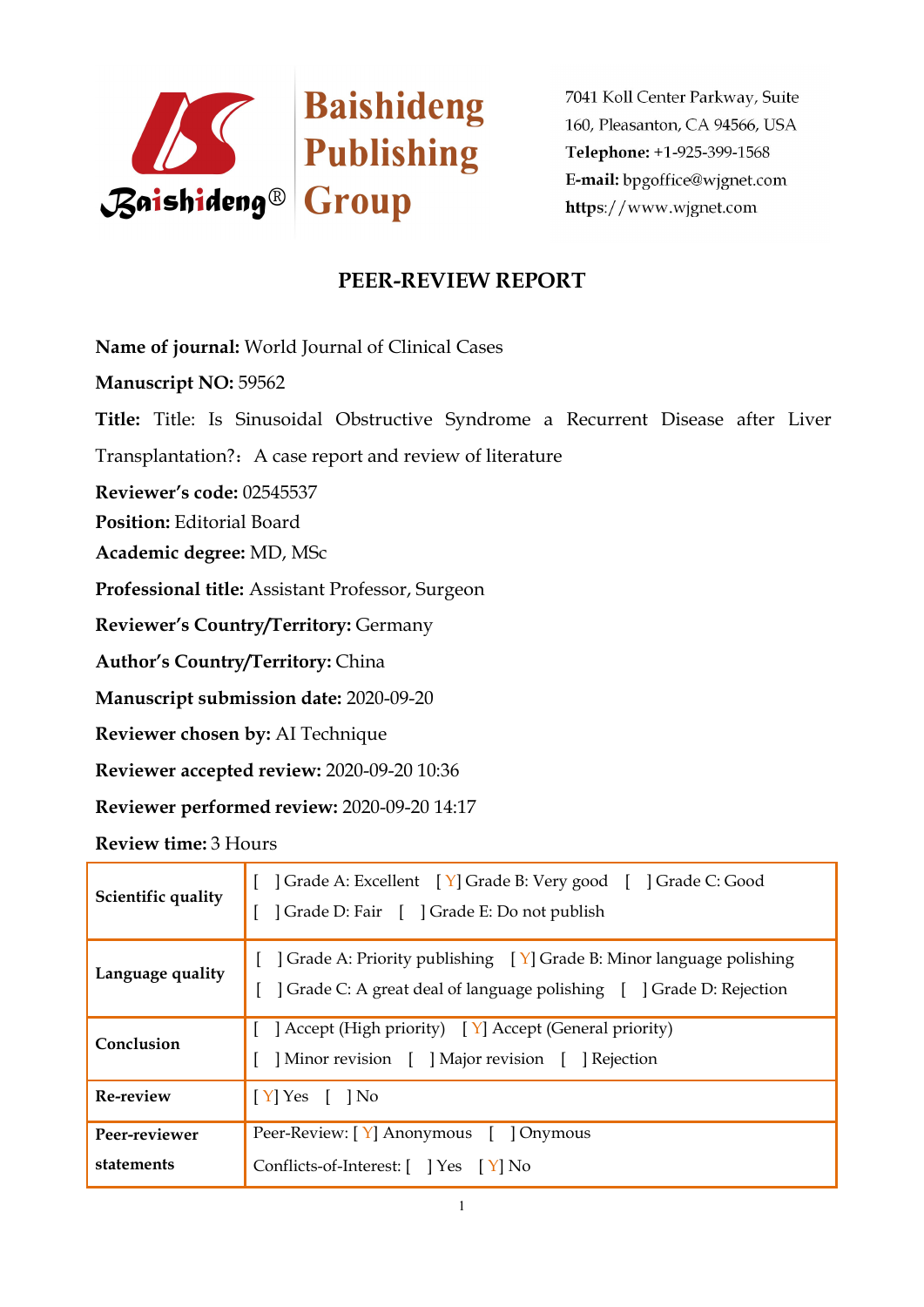

## **PEER-REVIEW REPORT**

**Name of journal:** World Journal of Clinical Cases

**Manuscript NO:** 59562

**Title:** Title: Is Sinusoidal Obstructive Syndrome a Recurrent Disease after Liver

Transplantation?: A case report and review of literature

**Reviewer's code:** 02545537

**Position:** Editorial Board

**Academic degree:** MD, MSc

**Professional title:** Assistant Professor, Surgeon

**Reviewer's Country/Territory:** Germany

**Author's Country/Territory:** China

**Manuscript submission date:** 2020-09-20

**Reviewer chosen by:** AI Technique

**Reviewer accepted review:** 2020-09-20 10:36

**Reviewer performed review:** 2020-09-20 14:17

**Review time:** 3 Hours

| Scientific quality          | Crade A: Excellent [Y] Grade B: Very good [] Grade C: Good<br>] Grade D: Fair [ ] Grade E: Do not publish                                                    |  |
|-----------------------------|--------------------------------------------------------------------------------------------------------------------------------------------------------------|--|
| Language quality            | $\vert$ Grade A: Priority publishing $\vert Y \vert$ Grade B: Minor language polishing<br>Crade C: A great deal of language polishing [ ] Grade D: Rejection |  |
| Conclusion                  | $\left[ \right]$ Accept (High priority) $\left[ \right]$ Accept (General priority)<br>] Minor revision [ ] Major revision [ ] Rejection                      |  |
| Re-review                   | $[Y]$ Yes $[$ $]$ No                                                                                                                                         |  |
| Peer-reviewer<br>statements | Peer-Review: [Y] Anonymous [ ] Onymous<br>Conflicts-of-Interest: [ ] Yes [Y] No                                                                              |  |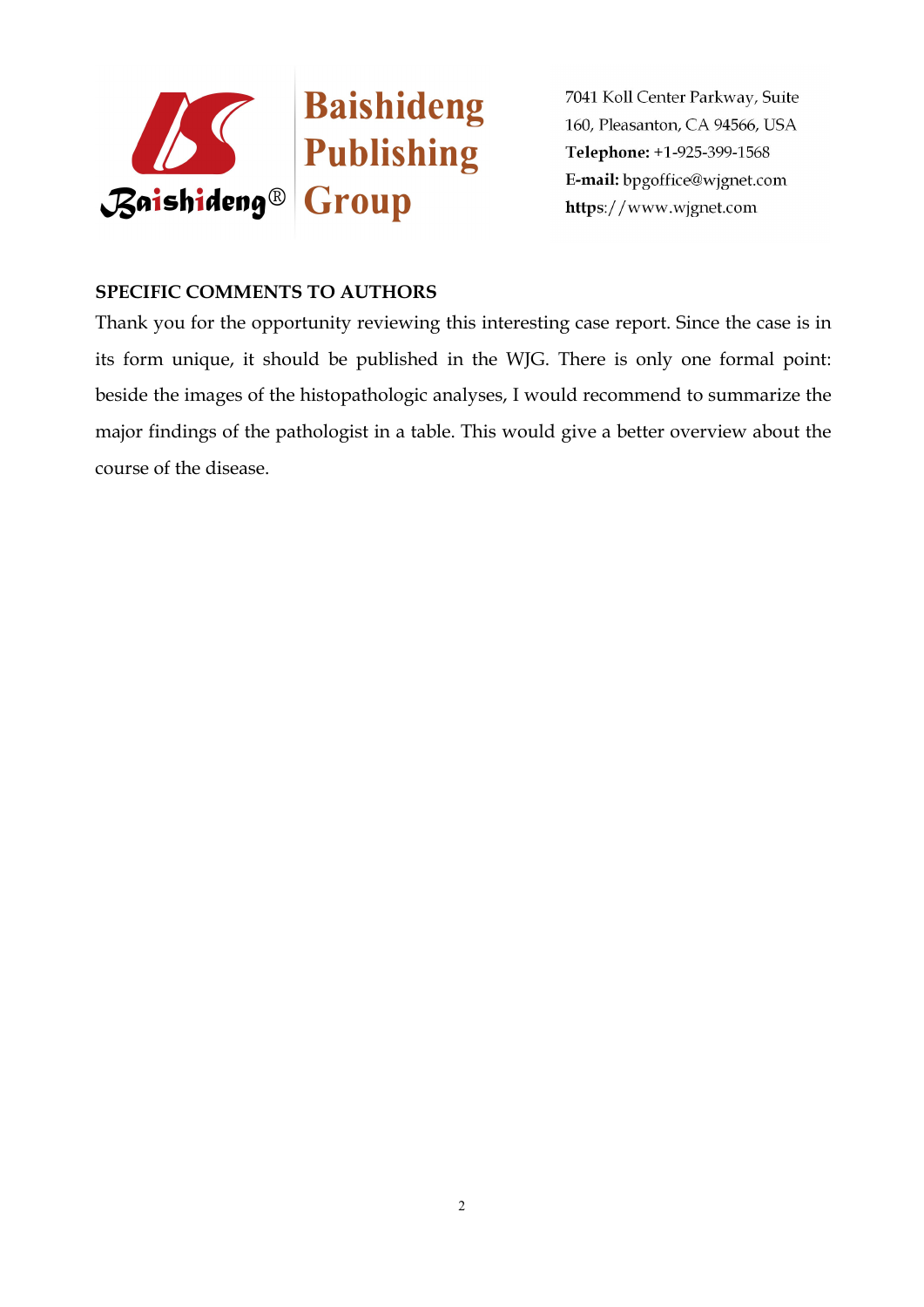

## **SPECIFIC COMMENTS TO AUTHORS**

Thank you for the opportunity reviewing this interesting case report. Since the case is in its form unique, it should be published in the WJG. There is only one formal point: beside the images of the histopathologic analyses, I would recommend to summarize the major findings of the pathologist in a table. This would give a better overview about the course of the disease.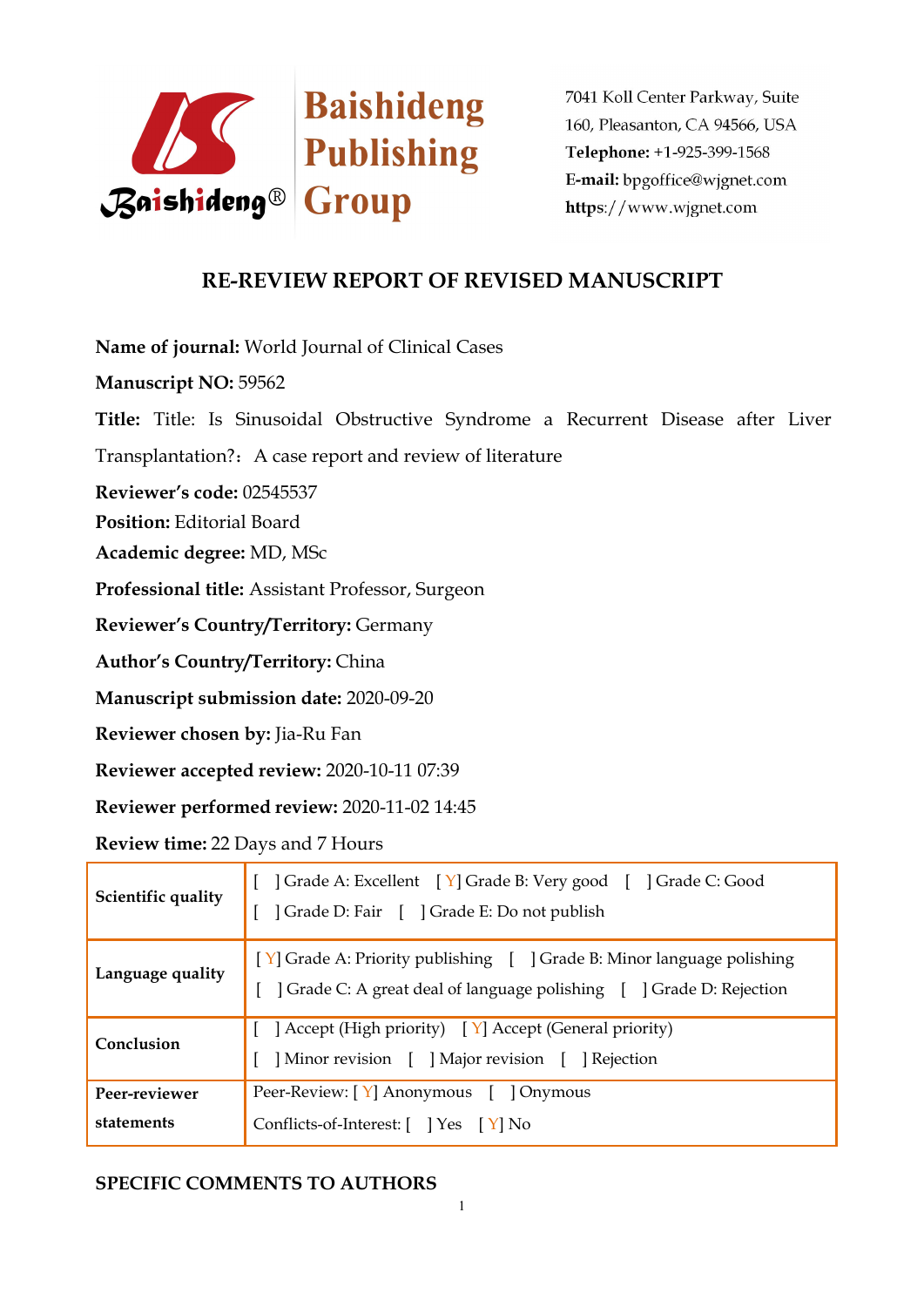

## **RE-REVIEW REPORT OF REVISED MANUSCRIPT**

**Name of journal:** World Journal of Clinical Cases

**Manuscript NO:** 59562

**Title:** Title: Is Sinusoidal Obstructive Syndrome a Recurrent Disease after Liver

Transplantation?: A case report and review of literature

**Reviewer's code:** 02545537

**Position:** Editorial Board

**Academic degree:** MD, MSc

**Professional title:** Assistant Professor, Surgeon

**Reviewer's Country/Territory:** Germany

**Author's Country/Territory:** China

**Manuscript submission date:** 2020-09-20

**Reviewer chosen by:** Jia-Ru Fan

**Reviewer accepted review:** 2020-10-11 07:39

**Reviewer performed review:** 2020-11-02 14:45

**Review time:** 22 Days and 7 Hours

| Scientific quality | Crade A: Excellent [Y] Grade B: Very good [] Grade C: Good<br>Grade D: Fair [ ] Grade E: Do not publish                                      |
|--------------------|----------------------------------------------------------------------------------------------------------------------------------------------|
| Language quality   | [Y] Grade A: Priority publishing [ ] Grade B: Minor language polishing<br>Crade C: A great deal of language polishing [ ] Grade D: Rejection |
| Conclusion         | [ Accept (High priority) [ Y] Accept (General priority)<br>Minor revision [ ] Major revision [ ] Rejection                                   |
| Peer-reviewer      | Peer-Review: [Y] Anonymous [ ] Onymous                                                                                                       |
| statements         | Conflicts-of-Interest: [ ] Yes [ Y] No                                                                                                       |

## **SPECIFIC COMMENTS TO AUTHORS**